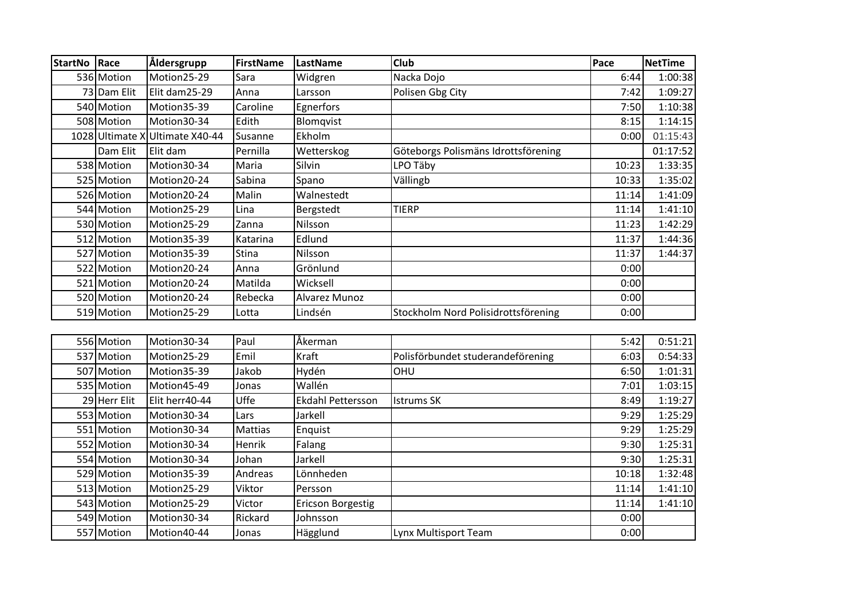| <b>StartNo</b> | Race        | Åldersgrupp                     | <b>FirstName</b> | LastName      | Club                                | Pace  | <b>NetTime</b> |
|----------------|-------------|---------------------------------|------------------|---------------|-------------------------------------|-------|----------------|
|                | 536 Motion  | Motion25-29                     | Sara             | Widgren       | Nacka Dojo                          | 6:44  | 1:00:38        |
|                | 73 Dam Elit | Elit dam25-29                   | Anna             | Larsson       | Polisen Gbg City                    | 7:42  | 1:09:27        |
|                | 540 Motion  | Motion35-39                     | Caroline         | Egnerfors     |                                     | 7:50  | 1:10:38        |
|                | 508 Motion  | Motion30-34                     | Edith            | Blomqvist     |                                     | 8:15  | 1:14:15        |
|                |             | 1028 Ultimate X Ultimate X40-44 | Susanne          | Ekholm        |                                     | 0:00  | 01:15:43       |
|                | Dam Elit    | Elit dam                        | Pernilla         | Wetterskog    | Göteborgs Polismäns Idrottsförening |       | 01:17:52       |
|                | 538 Motion  | Motion30-34                     | Maria            | Silvin        | LPO Täby                            | 10:23 | 1:33:35        |
|                | 525 Motion  | Motion20-24                     | Sabina           | Spano         | Vällingb                            | 10:33 | 1:35:02        |
|                | 526 Motion  | Motion20-24                     | Malin            | Walnestedt    |                                     | 11:14 | 1:41:09        |
|                | 544 Motion  | Motion25-29                     | Lina             | Bergstedt     | <b>TIERP</b>                        | 11:14 | 1:41:10        |
|                | 530 Motion  | Motion25-29                     | Zanna            | Nilsson       |                                     | 11:23 | 1:42:29        |
|                | 512 Motion  | Motion35-39                     | Katarina         | Edlund        |                                     | 11:37 | 1:44:36        |
|                | 527 Motion  | Motion35-39                     | Stina            | Nilsson       |                                     | 11:37 | 1:44:37        |
|                | 522 Motion  | Motion20-24                     | Anna             | Grönlund      |                                     | 0:00  |                |
|                | 521 Motion  | Motion20-24                     | Matilda          | Wicksell      |                                     | 0:00  |                |
|                | 520 Motion  | Motion20-24                     | Rebecka          | Alvarez Munoz |                                     | 0:00  |                |
|                | 519 Motion  | Motion25-29                     | Lotta            | Lindsén       | Stockholm Nord Polisidrottsförening | 0:00  |                |
|                |             |                                 |                  |               |                                     |       |                |
|                | 556 Motion  | Motion30-34                     | Paul             | Åkerman       |                                     | 5:42  | 0:51:21        |
|                | 537 Motion  | Motion25-29                     | Emil             | Kraft         | Polisförbundet studerandeförening   | 6:03  | 0:54:33        |
|                | 507 Motion  | Motion35-39                     | Jakob            | Hydén         | OHU                                 | 6:50  | 1:01:31        |

| <u>JJVIIIVUUII</u> | .              | .              |                          |                                   | - -   | .       |
|--------------------|----------------|----------------|--------------------------|-----------------------------------|-------|---------|
| 537 Motion         | Motion25-29    | Emil           | Kraft                    | Polisförbundet studerandeförening | 6:03  | 0:54:33 |
| 507 Motion         | Motion35-39    | Jakob          | Hydén                    | <b>OHU</b>                        | 6:50  | 1:01:31 |
| 535 Motion         | Motion45-49    | Jonas          | Wallén                   |                                   | 7:01  | 1:03:15 |
| 29 Herr Elit       | Elit herr40-44 | Uffe           | <b>Ekdahl Pettersson</b> | llstrums SK                       | 8:49  | 1:19:27 |
| 553 Motion         | Motion30-34    | Lars           | Jarkell                  |                                   | 9:29  | 1:25:29 |
| 551 Motion         | Motion30-34    | <b>Mattias</b> | Enquist                  |                                   | 9:29  | 1:25:29 |
| 552 Motion         | Motion30-34    | Henrik         | Falang                   |                                   | 9:30  | 1:25:31 |
| 554 Motion         | Motion30-34    | Johan          | Jarkell                  |                                   | 9:30  | 1:25:31 |
| 529 Motion         | Motion35-39    | Andreas        | Lönnheden                |                                   | 10:18 | 1:32:48 |
| 513 Motion         | Motion25-29    | Viktor         | Persson                  |                                   | 11:14 | 1:41:10 |
| 543 Motion         | Motion25-29    | Victor         | <b>Ericson Borgestig</b> |                                   | 11:14 | 1:41:10 |
| 549 Motion         | Motion30-34    | Rickard        | Johnsson                 |                                   | 0:00  |         |
| 557 Motion         | Motion40-44    | Jonas          | Hägglund                 | Lynx Multisport Team              | 0:00  |         |